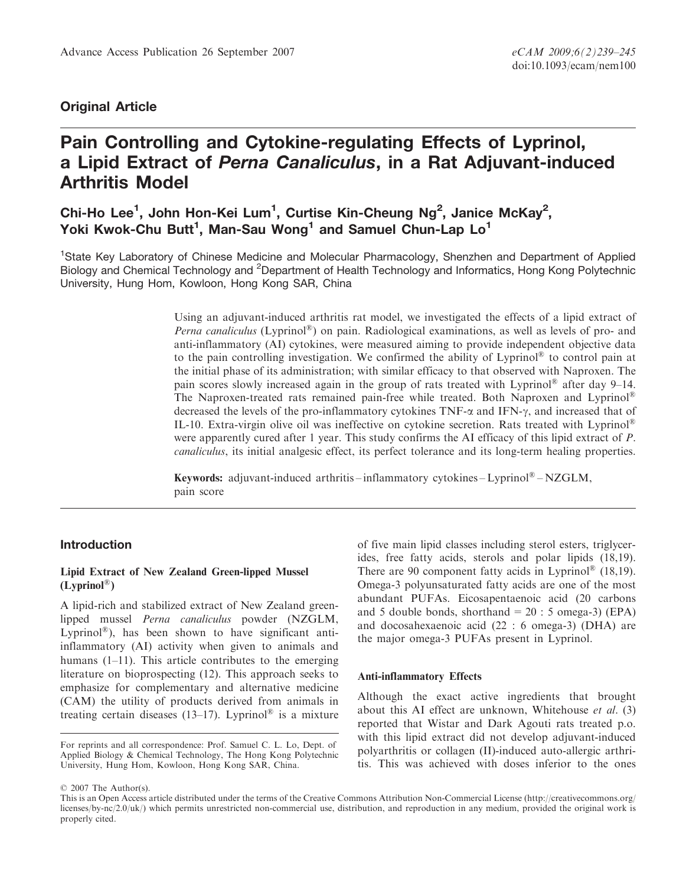# Original Article

# Pain Controlling and Cytokine-regulating Effects of Lyprinol, a Lipid Extract of Perna Canaliculus, in a Rat Adjuvant-induced Arthritis Model

Chi-Ho Lee<sup>1</sup>, John Hon-Kei Lum<sup>1</sup>, Curtise Kin-Cheung Ng<sup>2</sup>, Janice McKay<sup>2</sup>, Yoki Kwok-Chu Butt<sup>1</sup>, Man-Sau Wong<sup>1</sup> and Samuel Chun-Lap Lo<sup>1</sup>

<sup>1</sup>State Key Laboratory of Chinese Medicine and Molecular Pharmacology, Shenzhen and Department of Applied Biology and Chemical Technology and <sup>2</sup>Department of Health Technology and Informatics, Hong Kong Polytechnic University, Hung Hom, Kowloon, Hong Kong SAR, China

> Using an adjuvant-induced arthritis rat model, we investigated the effects of a lipid extract of *Perna canaliculus* (Lyprinol<sup>®</sup>) on pain. Radiological examinations, as well as levels of pro- and anti-inflammatory (AI) cytokines, were measured aiming to provide independent objective data to the pain controlling investigation. We confirmed the ability of Lyprinol<sup>®</sup> to control pain at the initial phase of its administration; with similar efficacy to that observed with Naproxen. The pain scores slowly increased again in the group of rats treated with Lyprinol<sup>®</sup> after day 9–14. The Naproxen-treated rats remained pain-free while treated. Both Naproxen and Lyprinol<sup>®</sup> decreased the levels of the pro-inflammatory cytokines  $TNF-\alpha$  and  $IFN-\gamma$ , and increased that of IL-10. Extra-virgin olive oil was ineffective on cytokine secretion. Rats treated with Lyprinol<sup>®</sup> were apparently cured after 1 year. This study confirms the AI efficacy of this lipid extract of P. canaliculus, its initial analgesic effect, its perfect tolerance and its long-term healing properties.

**Keywords:** adjuvant-induced arthritis – inflammatory cytokines – Lyprinol<sup>®</sup> – NZGLM, pain score

## Introduction

# Lipid Extract of New Zealand Green-lipped Mussel  $(Lyprinol^{\circledR})$

A lipid-rich and stabilized extract of New Zealand greenlipped mussel Perna canaliculus powder (NZGLM, Lyprinol<sup>®</sup>), has been shown to have significant antiinflammatory (AI) activity when given to animals and humans (1–11). This article contributes to the emerging literature on bioprospecting (12). This approach seeks to emphasize for complementary and alternative medicine (CAM) the utility of products derived from animals in treating certain diseases (13–17). Lyprinol<sup>®</sup> is a mixture of five main lipid classes including sterol esters, triglycerides, free fatty acids, sterols and polar lipids (18,19). There are 90 component fatty acids in Lyprinol<sup>®</sup> (18,19). Omega-3 polyunsaturated fatty acids are one of the most abundant PUFAs. Eicosapentaenoic acid (20 carbons and 5 double bonds, shorthand  $= 20 : 5$  omega-3) (EPA) and docosahexaenoic acid (22 : 6 omega-3) (DHA) are the major omega-3 PUFAs present in Lyprinol.

#### Anti-inflammatory Effects

Although the exact active ingredients that brought about this AI effect are unknown, Whitehouse et al. (3) reported that Wistar and Dark Agouti rats treated p.o. with this lipid extract did not develop adjuvant-induced polyarthritis or collagen (II)-induced auto-allergic arthritis. This was achieved with doses inferior to the ones

For reprints and all correspondence: Prof. Samuel C. L. Lo, Dept. of Applied Biology & Chemical Technology, The Hong Kong Polytechnic University, Hung Hom, Kowloon, Hong Kong SAR, China.

<sup>© 2007</sup> The Author(s).

This is an Open Access article distributed under the terms of the Creative Commons Attribution Non-Commercial License (<http://creativecommons.org/> licenses/by-nc/2.0/uk/) which permits unrestricted non-commercial use, distribution, and reproduction in any medium, provided the original work is properly cited.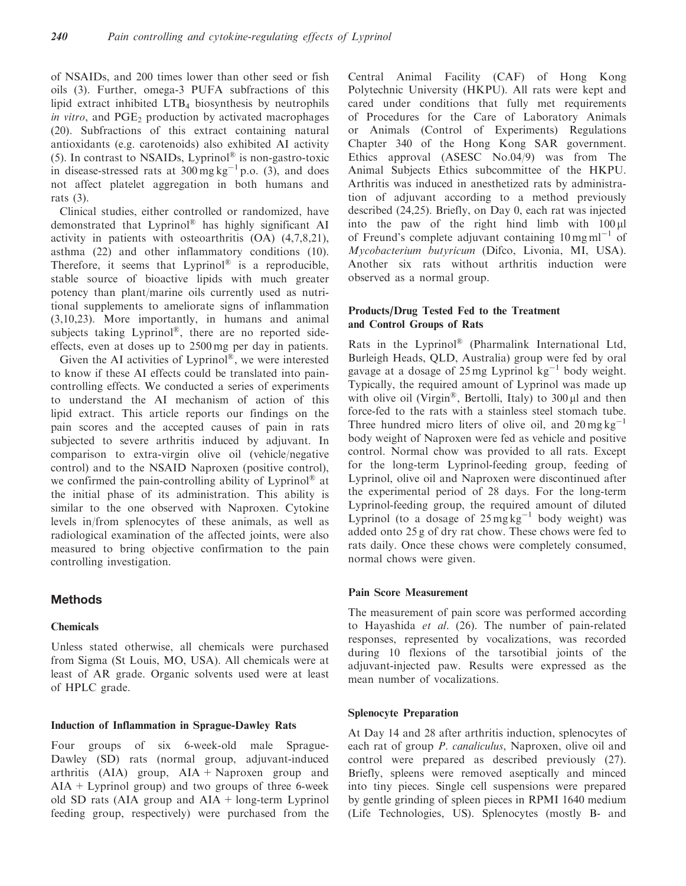of NSAIDs, and 200 times lower than other seed or fish oils (3). Further, omega-3 PUFA subfractions of this lipid extract inhibited LTB4 biosynthesis by neutrophils in vitro, and  $PGE<sub>2</sub>$  production by activated macrophages (20). Subfractions of this extract containing natural antioxidants (e.g. carotenoids) also exhibited AI activity (5). In contrast to NSAIDs, Lyprinol<sup>®</sup> is non-gastro-toxic in disease-stressed rats at  $300 \text{ mg kg}^{-1}$  p.o. (3), and does not affect platelet aggregation in both humans and rats (3).

Clinical studies, either controlled or randomized, have demonstrated that Lyprinol® has highly significant AI activity in patients with osteoarthritis (OA) (4,7,8,21), asthma (22) and other inflammatory conditions (10). Therefore, it seems that  $Lyprinol^{\circledR}$  is a reproducible, stable source of bioactive lipids with much greater potency than plant/marine oils currently used as nutritional supplements to ameliorate signs of inflammation (3,10,23). More importantly, in humans and animal subjects taking Lyprinol<sup>®</sup>, there are no reported sideeffects, even at doses up to 2500 mg per day in patients.

Given the AI activities of Lyprinol®, we were interested to know if these AI effects could be translated into paincontrolling effects. We conducted a series of experiments to understand the AI mechanism of action of this lipid extract. This article reports our findings on the pain scores and the accepted causes of pain in rats subjected to severe arthritis induced by adjuvant. In comparison to extra-virgin olive oil (vehicle/negative control) and to the NSAID Naproxen (positive control), we confirmed the pain-controlling ability of Lyprinol<sup>®</sup> at the initial phase of its administration. This ability is similar to the one observed with Naproxen. Cytokine levels in/from splenocytes of these animals, as well as radiological examination of the affected joints, were also measured to bring objective confirmation to the pain controlling investigation.

# Methods

# Chemicals

Unless stated otherwise, all chemicals were purchased from Sigma (St Louis, MO, USA). All chemicals were at least of AR grade. Organic solvents used were at least of HPLC grade.

# Induction of Inflammation in Sprague-Dawley Rats

Four groups of six 6-week-old male Sprague-Dawley (SD) rats (normal group, adjuvant-induced arthritis (AIA) group,  $AIA + Naproxen$  group and  $AIA + Lyprinol group$ ) and two groups of three 6-week old SD rats (AIA group and  $AIA + long-term Lyprinol$ feeding group, respectively) were purchased from the Central Animal Facility (CAF) of Hong Kong Polytechnic University (HKPU). All rats were kept and cared under conditions that fully met requirements of Procedures for the Care of Laboratory Animals or Animals (Control of Experiments) Regulations Chapter 340 of the Hong Kong SAR government. Ethics approval (ASESC No.04/9) was from The Animal Subjects Ethics subcommittee of the HKPU. Arthritis was induced in anesthetized rats by administration of adjuvant according to a method previously described (24,25). Briefly, on Day 0, each rat was injected into the paw of the right hind limb with  $100 \mu l$ of Freund's complete adjuvant containing  $10 \text{ mg} \text{ml}^{-1}$  of Mycobacterium butyricum (Difco, Livonia, MI, USA). Another six rats without arthritis induction were observed as a normal group.

## Products/Drug Tested Fed to the Treatment and Control Groups of Rats

Rats in the Lyprinol<sup>®</sup> (Pharmalink International Ltd, Burleigh Heads, QLD, Australia) group were fed by oral gavage at a dosage of  $25 \text{ mg}$  Lyprinol kg<sup>-1</sup> body weight. Typically, the required amount of Lyprinol was made up with olive oil (Virgin<sup>®</sup>, Bertolli, Italy) to  $300 \mu l$  and then force-fed to the rats with a stainless steel stomach tube. Three hundred micro liters of olive oil, and  $20 \text{ mg kg}^{-1}$ body weight of Naproxen were fed as vehicle and positive control. Normal chow was provided to all rats. Except for the long-term Lyprinol-feeding group, feeding of Lyprinol, olive oil and Naproxen were discontinued after the experimental period of 28 days. For the long-term Lyprinol-feeding group, the required amount of diluted Lyprinol (to a dosage of  $25 \text{ mg kg}^{-1}$  body weight) was added onto 25 g of dry rat chow. These chows were fed to rats daily. Once these chows were completely consumed, normal chows were given.

## Pain Score Measurement

The measurement of pain score was performed according to Hayashida et al. (26). The number of pain-related responses, represented by vocalizations, was recorded during 10 flexions of the tarsotibial joints of the adjuvant-injected paw. Results were expressed as the mean number of vocalizations.

## Splenocyte Preparation

At Day 14 and 28 after arthritis induction, splenocytes of each rat of group P. canaliculus, Naproxen, olive oil and control were prepared as described previously (27). Briefly, spleens were removed aseptically and minced into tiny pieces. Single cell suspensions were prepared by gentle grinding of spleen pieces in RPMI 1640 medium (Life Technologies, US). Splenocytes (mostly B- and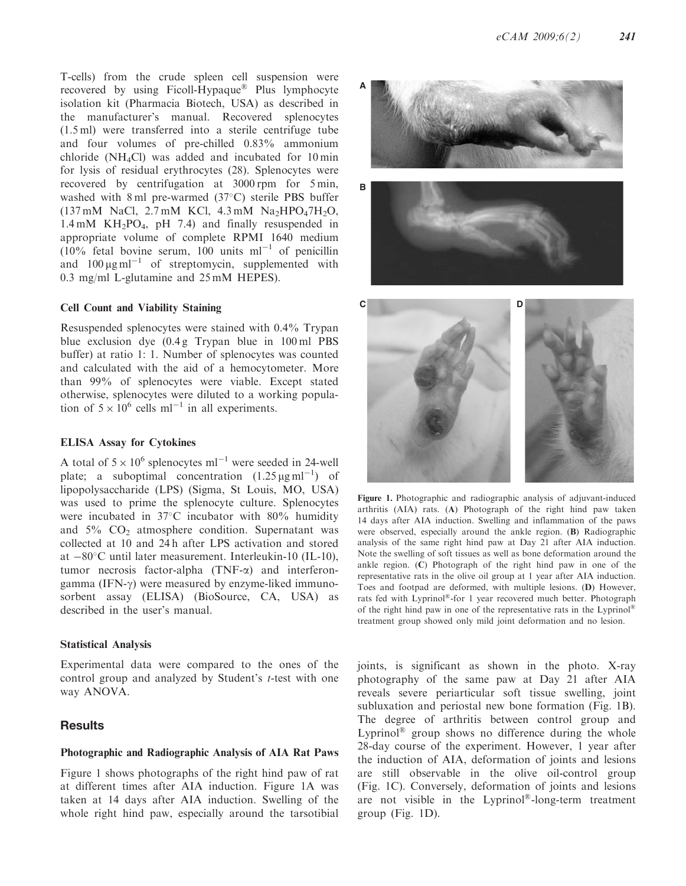T-cells) from the crude spleen cell suspension were recovered by using Ficoll-Hypaque<sup>®</sup> Plus lymphocyte isolation kit (Pharmacia Biotech, USA) as described in the manufacturer's manual. Recovered splenocytes (1.5 ml) were transferred into a sterile centrifuge tube and four volumes of pre-chilled 0.83% ammonium chloride (NH4Cl) was added and incubated for 10 min for lysis of residual erythrocytes (28). Splenocytes were recovered by centrifugation at 3000 rpm for 5 min, washed with 8 ml pre-warmed (37°C) sterile PBS buffer  $(137 \text{ mM } NaCl, 2.7 \text{ mM } KCl, 4.3 \text{ mM } Na<sub>2</sub>HPO<sub>4</sub>7H<sub>2</sub>O,$  $1.4 \text{ mM } KH_2PO_4$ , pH 7.4) and finally resuspended in appropriate volume of complete RPMI 1640 medium  $(10\%$  fetal bovine serum, 100 units m $l^{-1}$  of penicillin and  $100 \mu g \text{ m}^{-1}$  of streptomycin, supplemented with 0.3 mg/ml L-glutamine and 25 mM HEPES).

#### Cell Count and Viability Staining

Resuspended splenocytes were stained with 0.4% Trypan blue exclusion dye (0.4 g Trypan blue in 100 ml PBS buffer) at ratio 1: 1. Number of splenocytes was counted and calculated with the aid of a hemocytometer. More than 99% of splenocytes were viable. Except stated otherwise, splenocytes were diluted to a working population of  $5 \times 10^6$  cells ml<sup>-1</sup> in all experiments.

#### ELISA Assay for Cytokines

A total of  $5 \times 10^6$  splenocytes ml<sup>-1</sup> were seeded in 24-well plate; a suboptimal concentration  $(1.25 \,\mu\text{g m}^{-1})$  of lipopolysaccharide (LPS) (Sigma, St Louis, MO, USA) was used to prime the splenocyte culture. Splenocytes were incubated in 37°C incubator with 80% humidity and  $5\%$  CO<sub>2</sub> atmosphere condition. Supernatant was collected at 10 and 24 h after LPS activation and stored at -80°C until later measurement. Interleukin-10 (IL-10), tumor necrosis factor-alpha  $(TNF-\alpha)$  and interferongamma  $(IFN-\gamma)$  were measured by enzyme-liked immunosorbent assay (ELISA) (BioSource, CA, USA) as described in the user's manual.

#### Statistical Analysis

Experimental data were compared to the ones of the control group and analyzed by Student's *t*-test with one way ANOVA.

# **Results**

#### Photographic and Radiographic Analysis of AIA Rat Paws

Figure 1 shows photographs of the right hind paw of rat at different times after AIA induction. Figure 1A was taken at 14 days after AIA induction. Swelling of the whole right hind paw, especially around the tarsotibial



Figure 1. Photographic and radiographic analysis of adjuvant-induced arthritis (AIA) rats. (A) Photograph of the right hind paw taken 14 days after AIA induction. Swelling and inflammation of the paws were observed, especially around the ankle region. (B) Radiographic analysis of the same right hind paw at Day 21 after AIA induction. Note the swelling of soft tissues as well as bone deformation around the ankle region. (C) Photograph of the right hind paw in one of the representative rats in the olive oil group at 1 year after AIA induction. Toes and footpad are deformed, with multiple lesions. (D) However, rats fed with Lyprinol®-for 1 year recovered much better. Photograph of the right hind paw in one of the representative rats in the Lyprinol treatment group showed only mild joint deformation and no lesion.

joints, is significant as shown in the photo. X-ray photography of the same paw at Day 21 after AIA reveals severe periarticular soft tissue swelling, joint subluxation and periostal new bone formation (Fig. 1B). The degree of arthritis between control group and Lyprinol $<sup>®</sup>$  group shows no difference during the whole</sup> 28-day course of the experiment. However, 1 year after the induction of AIA, deformation of joints and lesions are still observable in the olive oil-control group (Fig. 1C). Conversely, deformation of joints and lesions are not visible in the Lyprinol®-long-term treatment group (Fig. 1D).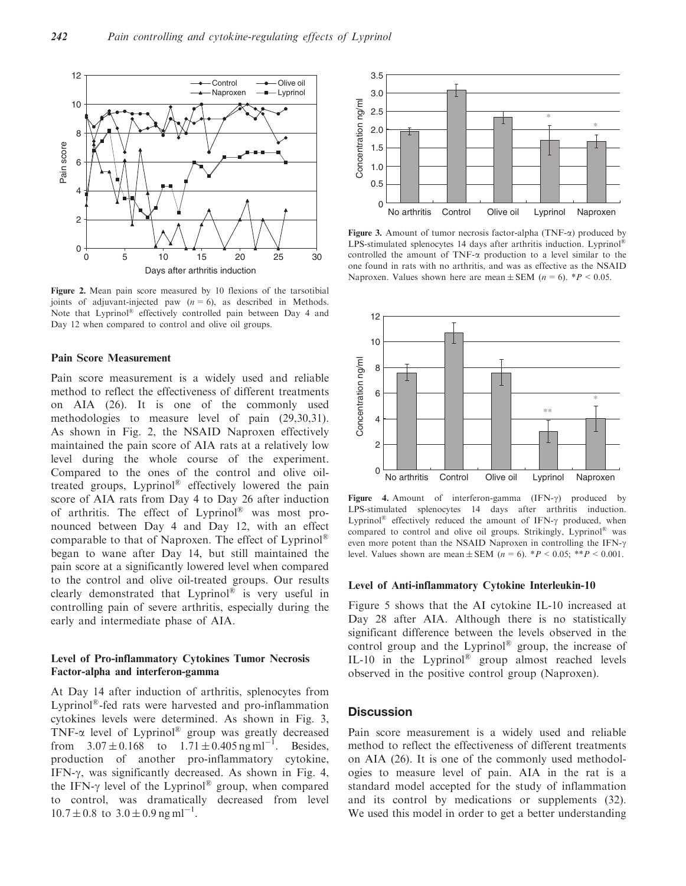

Figure 2. Mean pain score measured by 10 flexions of the tarsotibial joints of adjuvant-injected paw  $(n = 6)$ , as described in Methods. Note that Lyprinol<sup>®</sup> effectively controlled pain between Day 4 and Day 12 when compared to control and olive oil groups.

#### Pain Score Measurement

Pain score measurement is a widely used and reliable method to reflect the effectiveness of different treatments on AIA (26). It is one of the commonly used methodologies to measure level of pain (29,30,31). As shown in Fig. 2, the NSAID Naproxen effectively maintained the pain score of AIA rats at a relatively low level during the whole course of the experiment. Compared to the ones of the control and olive oiltreated groups, Lyprinol® effectively lowered the pain score of AIA rats from Day 4 to Day 26 after induction of arthritis. The effect of Lyprinol® was most pronounced between Day 4 and Day 12, with an effect comparable to that of Naproxen. The effect of Lyprinol<sup>®</sup> began to wane after Day 14, but still maintained the pain score at a significantly lowered level when compared to the control and olive oil-treated groups. Our results clearly demonstrated that Lyprinol<sup>®</sup> is very useful in controlling pain of severe arthritis, especially during the early and intermediate phase of AIA.

## Level of Pro-inflammatory Cytokines Tumor Necrosis Factor-alpha and interferon-gamma

At Day 14 after induction of arthritis, splenocytes from Lyprinol<sup>®</sup>-fed rats were harvested and pro-inflammation cytokines levels were determined. As shown in Fig. 3, TNF- $\alpha$  level of Lyprinol® group was greatly decreased from  $3.07 \pm 0.168$  to  $1.71 \pm 0.405$  ng ml<sup>-1</sup>. Besides, production of another pro-inflammatory cytokine, IFN- $\gamma$ , was significantly decreased. As shown in Fig. 4, the IFN- $\gamma$  level of the Lyprinol<sup>®</sup> group, when compared to control, was dramatically decreased from level  $10.7 \pm 0.8$  to  $3.0 \pm 0.9$  ng ml<sup>-1</sup>.



Figure 3. Amount of tumor necrosis factor-alpha (TNF- $\alpha$ ) produced by LPS-stimulated splenocytes 14 days after arthritis induction. Lyprinol<sup>®</sup> controlled the amount of TNF-a production to a level similar to the one found in rats with no arthritis, and was as effective as the NSAID Naproxen. Values shown here are mean  $\pm$  SEM (*n* = 6). \**P* < 0.05.



Figure 4. Amount of interferon-gamma  $(IFN-\gamma)$  produced by LPS-stimulated splenocytes 14 days after arthritis induction. Lyprinol<sup>®</sup> effectively reduced the amount of IFN- $\gamma$  produced, when compared to control and olive oil groups. Strikingly, Lyprinol<sup>®</sup> was even more potent than the NSAID Naproxen in controlling the IFN- $\gamma$ level. Values shown are mean  $\pm$  SEM (*n* = 6). \**P* < 0.05; \*\**P* < 0.001.

## Level of Anti-inflammatory Cytokine Interleukin-10

Figure 5 shows that the AI cytokine IL-10 increased at Day 28 after AIA. Although there is no statistically significant difference between the levels observed in the control group and the Lyprinol<sup>®</sup> group, the increase of IL-10 in the Lyprinol® group almost reached levels observed in the positive control group (Naproxen).

#### **Discussion**

Pain score measurement is a widely used and reliable method to reflect the effectiveness of different treatments on AIA (26). It is one of the commonly used methodologies to measure level of pain. AIA in the rat is a standard model accepted for the study of inflammation and its control by medications or supplements (32). We used this model in order to get a better understanding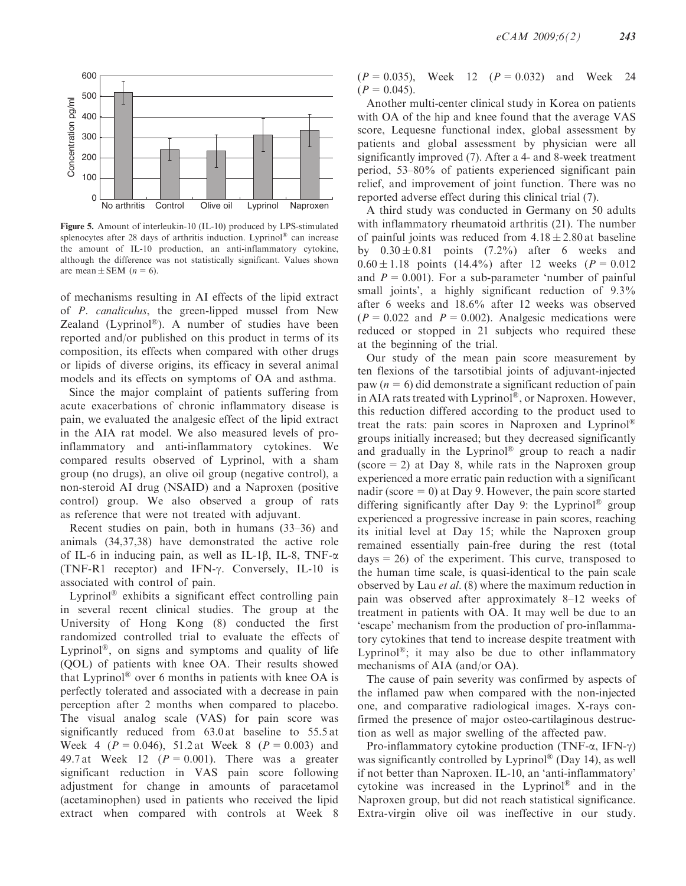

Figure 5. Amount of interleukin-10 (IL-10) produced by LPS-stimulated splenocytes after 28 days of arthritis induction. Lyprinol® can increase the amount of IL-10 production, an anti-inflammatory cytokine, although the difference was not statistically significant. Values shown are mean  $\pm$  SEM (*n* = 6).

of mechanisms resulting in AI effects of the lipid extract of P. canaliculus, the green-lipped mussel from New Zealand (Lyprinol<sup>®</sup>). A number of studies have been reported and/or published on this product in terms of its composition, its effects when compared with other drugs or lipids of diverse origins, its efficacy in several animal models and its effects on symptoms of OA and asthma.

Since the major complaint of patients suffering from acute exacerbations of chronic inflammatory disease is pain, we evaluated the analgesic effect of the lipid extract in the AIA rat model. We also measured levels of proinflammatory and anti-inflammatory cytokines. We compared results observed of Lyprinol, with a sham group (no drugs), an olive oil group (negative control), a non-steroid AI drug (NSAID) and a Naproxen (positive control) group. We also observed a group of rats as reference that were not treated with adjuvant.

Recent studies on pain, both in humans (33–36) and animals (34,37,38) have demonstrated the active role of IL-6 in inducing pain, as well as IL-1 $\beta$ , IL-8, TNF- $\alpha$ (TNF-R1 receptor) and IFN- $\gamma$ . Conversely, IL-10 is associated with control of pain.

Lyprinol<sup>®</sup> exhibits a significant effect controlling pain in several recent clinical studies. The group at the University of Hong Kong (8) conducted the first randomized controlled trial to evaluate the effects of Lyprinol<sup>®</sup>, on signs and symptoms and quality of life (QOL) of patients with knee OA. Their results showed that Lyprinol<sup>®</sup> over 6 months in patients with knee OA is perfectly tolerated and associated with a decrease in pain perception after 2 months when compared to placebo. The visual analog scale (VAS) for pain score was significantly reduced from 63.0 at baseline to 55.5 at Week 4 ( $P = 0.046$ ), 51.2 at Week 8 ( $P = 0.003$ ) and 49.7 at Week 12 ( $P = 0.001$ ). There was a greater significant reduction in VAS pain score following adjustment for change in amounts of paracetamol (acetaminophen) used in patients who received the lipid extract when compared with controls at Week 8  $(P = 0.035)$ , Week 12  $(P = 0.032)$  and Week 24  $(P = 0.045)$ .

Another multi-center clinical study in Korea on patients with OA of the hip and knee found that the average VAS score, Lequesne functional index, global assessment by patients and global assessment by physician were all significantly improved (7). After a 4- and 8-week treatment period, 53–80% of patients experienced significant pain relief, and improvement of joint function. There was no reported adverse effect during this clinical trial (7).

A third study was conducted in Germany on 50 adults with inflammatory rheumatoid arthritis (21). The number of painful joints was reduced from  $4.18 \pm 2.80$  at baseline by  $0.30 \pm 0.81$  points  $(7.2\%)$  after 6 weeks and  $0.60 \pm 1.18$  points (14.4%) after 12 weeks ( $P = 0.012$ and  $P = 0.001$ ). For a sub-parameter 'number of painful small joints', a highly significant reduction of  $9.3\%$ after 6 weeks and 18.6% after 12 weeks was observed  $(P = 0.022$  and  $P = 0.002$ ). Analgesic medications were reduced or stopped in 21 subjects who required these at the beginning of the trial.

Our study of the mean pain score measurement by ten flexions of the tarsotibial joints of adjuvant-injected paw ( $n = 6$ ) did demonstrate a significant reduction of pain in AIA rats treated with Lyprinol<sup>®</sup>, or Naproxen. However, this reduction differed according to the product used to treat the rats: pain scores in Naproxen and Lyprinol<sup>®</sup> groups initially increased; but they decreased significantly and gradually in the Lyprinol<sup>®</sup> group to reach a nadir  $(score = 2)$  at Day 8, while rats in the Naproxen group experienced a more erratic pain reduction with a significant nadir (score  $= 0$ ) at Day 9. However, the pain score started differing significantly after Day 9: the Lyprinol<sup>®</sup> group experienced a progressive increase in pain scores, reaching its initial level at Day 15; while the Naproxen group remained essentially pain-free during the rest (total  $days = 26$ ) of the experiment. This curve, transposed to the human time scale, is quasi-identical to the pain scale observed by Lau et al. (8) where the maximum reduction in pain was observed after approximately 8–12 weeks of treatment in patients with OA. It may well be due to an 'escape' mechanism from the production of pro-inflammatory cytokines that tend to increase despite treatment with Lyprinol<sup>®</sup>; it may also be due to other inflammatory mechanisms of AIA (and/or OA).

The cause of pain severity was confirmed by aspects of the inflamed paw when compared with the non-injected one, and comparative radiological images. X-rays confirmed the presence of major osteo-cartilaginous destruction as well as major swelling of the affected paw.

Pro-inflammatory cytokine production (TNF- $\alpha$ , IFN- $\gamma$ ) was significantly controlled by Lyprinol<sup>®</sup> (Day 14), as well if not better than Naproxen. IL-10, an 'anti-inflammatory' cytokine was increased in the Lyprinol<sup>®</sup> and in the Naproxen group, but did not reach statistical significance. Extra-virgin olive oil was ineffective in our study.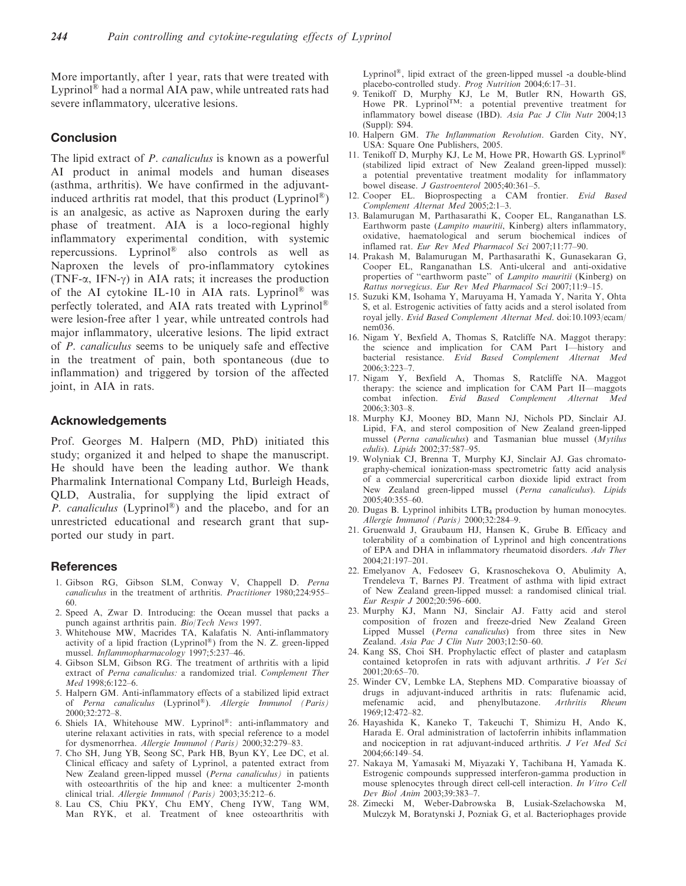More importantly, after 1 year, rats that were treated with Lyprinol® had a normal AIA paw, while untreated rats had severe inflammatory, ulcerative lesions.

# **Conclusion**

The lipid extract of *P. canaliculus* is known as a powerful AI product in animal models and human diseases (asthma, arthritis). We have confirmed in the adjuvantinduced arthritis rat model, that this product  $(Lyprino \ell^{\otimes})$ is an analgesic, as active as Naproxen during the early phase of treatment. AIA is a loco-regional highly inflammatory experimental condition, with systemic repercussions. Lyprinol® also controls as well as Naproxen the levels of pro-inflammatory cytokines (TNF- $\alpha$ , IFN- $\gamma$ ) in AIA rats; it increases the production of the AI cytokine IL-10 in AIA rats. Lyprinol® was perfectly tolerated, and AIA rats treated with Lyprinol® were lesion-free after 1 year, while untreated controls had major inflammatory, ulcerative lesions. The lipid extract of P. canaliculus seems to be uniquely safe and effective in the treatment of pain, both spontaneous (due to inflammation) and triggered by torsion of the affected joint, in AIA in rats.

## Acknowledgements

Prof. Georges M. Halpern (MD, PhD) initiated this study; organized it and helped to shape the manuscript. He should have been the leading author. We thank Pharmalink International Company Ltd, Burleigh Heads, QLD, Australia, for supplying the lipid extract of P. canaliculus (Lyprinol®) and the placebo, and for an unrestricted educational and research grant that supported our study in part.

#### References

- 1. Gibson RG, Gibson SLM, Conway V, Chappell D. Perna canaliculus in the treatment of arthritis. Practitioner 1980;224:955-60.
- 2. Speed A, Zwar D. Introducing: the Ocean mussel that packs a punch against arthritis pain. Bio/Tech News 1997.
- 3. Whitehouse MW, Macrides TA, Kalafatis N. Anti-inflammatory activity of a lipid fraction (Lyprinol®) from the N. Z. green-lipped mussel. Inflammopharmacology 1997;5:237–46.
- 4. Gibson SLM, Gibson RG. The treatment of arthritis with a lipid extract of Perna canaliculus: a randomized trial. Complement Ther Med 1998;6:122–6.
- 5. Halpern GM. Anti-inflammatory effects of a stabilized lipid extract of Perna canaliculus (Lyprinol®). Allergie Immunol (Paris) 2000;32:272–8.
- 6. Shiels IA, Whitehouse MW. Lyprinol®: anti-inflammatory and uterine relaxant activities in rats, with special reference to a model for dysmenorrhea. Allergie Immunol (Paris) 2000;32:279–83.
- 7. Cho SH, Jung YB, Seong SC, Park HB, Byun KY, Lee DC, et al. Clinical efficacy and safety of Lyprinol, a patented extract from New Zealand green-lipped mussel (Perna canaliculus) in patients with osteoarthritis of the hip and knee: a multicenter 2-month clinical trial. Allergie Immunol (Paris) 2003;35:212–6.
- 8. Lau CS, Chiu PKY, Chu EMY, Cheng IYW, Tang WM, Man RYK, et al. Treatment of knee osteoarthritis with

Lyprinol<sup>®</sup>, lipid extract of the green-lipped mussel -a double-blind placebo-controlled study. Prog Nutrition 2004;6:17–31.

- 9. Tenikoff D, Murphy KJ, Le M, Butler RN, Howarth GS, Howe PR. Lyprinol<sup>TM</sup>: a potential preventive treatment for inflammatory bowel disease (IBD). Asia Pac J Clin Nutr 2004;13 (Suppl): S94.
- 10. Halpern GM. The Inflammation Revolution. Garden City, NY, USA: Square One Publishers, 2005.
- 11. Tenikoff D, Murphy KJ, Le M, Howe PR, Howarth GS. Lyprinol<sup>®</sup> (stabilized lipid extract of New Zealand green-lipped mussel): a potential preventative treatment modality for inflammatory bowel disease. J Gastroenterol 2005;40:361–5.
- 12. Cooper EL. Bioprospecting a CAM frontier. Evid Based Complement Alternat Med 2005;2:1–3.
- 13. Balamurugan M, Parthasarathi K, Cooper EL, Ranganathan LS. Earthworm paste (Lampito mauritii, Kinberg) alters inflammatory, oxidative, haematological and serum biochemical indices of inflamed rat. Eur Rev Med Pharmacol Sci 2007;11:77–90.
- 14. Prakash M, Balamurugan M, Parthasarathi K, Gunasekaran G, Cooper EL, Ranganathan LS. Anti-ulceral and anti-oxidative properties of "earthworm paste" of *Lampito mauritii* (Kinberg) on Rattus norvegicus. Eur Rev Med Pharmacol Sci 2007;11:9–15.
- 15. Suzuki KM, Isohama Y, Maruyama H, Yamada Y, Narita Y, Ohta S, et al. Estrogenic activities of fatty acids and a sterol isolated from royal jelly. Evid Based Complement Alternat Med. doi:10.1093/ecam/ nem036.
- 16. Nigam Y, Bexfield A, Thomas S, Ratcliffe NA. Maggot therapy: the science and implication for CAM Part I—history and bacterial resistance. Evid Based Complement Alternat Med 2006;3:223–7.
- 17. Nigam Y, Bexfield A, Thomas S, Ratcliffe NA. Maggot therapy: the science and implication for CAM Part II—maggots combat infection. Evid Based Complement Alternat Med 2006;3:303–8.
- 18. Murphy KJ, Mooney BD, Mann NJ, Nichols PD, Sinclair AJ. Lipid, FA, and sterol composition of New Zealand green-lipped mussel (Perna canaliculus) and Tasmanian blue mussel (Mytilus edulis). Lipids 2002;37:587–95.
- 19. Wolyniak CJ, Brenna T, Murphy KJ, Sinclair AJ. Gas chromatography-chemical ionization-mass spectrometric fatty acid analysis of a commercial supercritical carbon dioxide lipid extract from New Zealand green-lipped mussel (Perna canaliculus). Lipids 2005;40:355–60.
- 20. Dugas B. Lyprinol inhibits LTB4 production by human monocytes. Allergie Immunol (Paris) 2000;32:284–9.
- 21. Gruenwald J, Graubaum HJ, Hansen K, Grube B. Efficacy and tolerability of a combination of Lyprinol and high concentrations of EPA and DHA in inflammatory rheumatoid disorders. Adv Ther 2004;21:197–201.
- 22. Emelyanov A, Fedoseev G, Krasnoschekova O, Abulimity A, Trendeleva T, Barnes PJ. Treatment of asthma with lipid extract of New Zealand green-lipped mussel: a randomised clinical trial. Eur Respir J 2002;20:596–600.
- 23. Murphy KJ, Mann NJ, Sinclair AJ. Fatty acid and sterol composition of frozen and freeze-dried New Zealand Green Lipped Mussel (Perna canaliculus) from three sites in New Zealand. Asia Pac J Clin Nutr 2003;12:50–60.
- 24. Kang SS, Choi SH. Prophylactic effect of plaster and cataplasm contained ketoprofen in rats with adjuvant arthritis. J Vet Sci 2001;20:65–70.
- 25. Winder CV, Lembke LA, Stephens MD. Comparative bioassay of drugs in adjuvant-induced arthritis in rats: flufenamic acid, mefenamic acid, and phenylbutazone. Arthritis Rheum 1969;12:472–82.
- 26. Hayashida K, Kaneko T, Takeuchi T, Shimizu H, Ando K, Harada E. Oral administration of lactoferrin inhibits inflammation and nociception in rat adjuvant-induced arthritis. J Vet Med Sci 2004;66:149–54.
- 27. Nakaya M, Yamasaki M, Miyazaki Y, Tachibana H, Yamada K. Estrogenic compounds suppressed interferon-gamma production in mouse splenocytes through direct cell-cell interaction. In Vitro Cell Dev Biol Anim 2003;39:383–7.
- 28. Zimecki M, Weber-Dabrowska B, Lusiak-Szelachowska M, Mulczyk M, Boratynski J, Pozniak G, et al. Bacteriophages provide